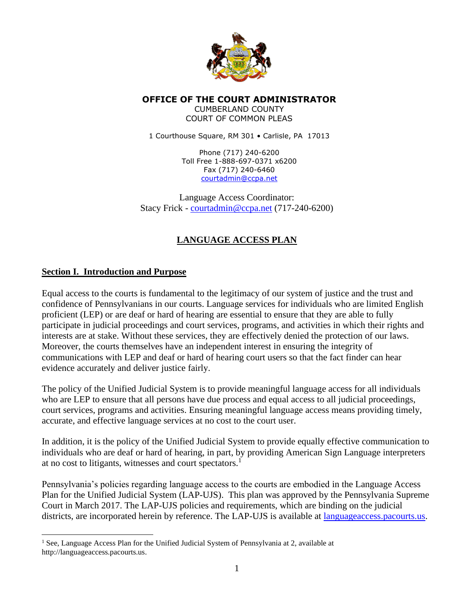

**OFFICE OF THE COURT ADMINISTRATOR** CUMBERLAND COUNTY COURT OF COMMON PLEAS

1 Courthouse Square, RM 301 · Carlisle, PA 17013

Phone (717) 240-6200 Toll Free 1-888-697-0371 x6200 Fax (717) 240-6460 [courtadmin@ccpa.net](mailto:courtadmin@ccpa.net)

Language Access Coordinator: Stacy Frick - [courtadmin@ccpa.net](mailto:courtadmin@ccpa.net) (717-240-6200)

## **LANGUAGE ACCESS PLAN**

## **Section I. Introduction and Purpose**

Equal access to the courts is fundamental to the legitimacy of our system of justice and the trust and confidence of Pennsylvanians in our courts. Language services for individuals who are limited English proficient (LEP) or are deaf or hard of hearing are essential to ensure that they are able to fully participate in judicial proceedings and court services, programs, and activities in which their rights and interests are at stake. Without these services, they are effectively denied the protection of our laws. Moreover, the courts themselves have an independent interest in ensuring the integrity of communications with LEP and deaf or hard of hearing court users so that the fact finder can hear evidence accurately and deliver justice fairly.

The policy of the Unified Judicial System is to provide meaningful language access for all individuals who are LEP to ensure that all persons have due process and equal access to all judicial proceedings, court services, programs and activities. Ensuring meaningful language access means providing timely, accurate, and effective language services at no cost to the court user.

In addition, it is the policy of the Unified Judicial System to provide equally effective communication to individuals who are deaf or hard of hearing, in part, by providing American Sign Language interpreters at no cost to litigants, witnesses and court spectators.<sup>1</sup>

Pennsylvania's policies regarding language access to the courts are embodied in the Language Access Plan for the Unified Judicial System (LAP-UJS). This plan was approved by the Pennsylvania Supreme Court in March 2017. The LAP-UJS policies and requirements, which are binding on the judicial districts, are incorporated herein by reference. The LAP-UJS is available at languageaccess.pacourts.us.

<sup>&</sup>lt;sup>1</sup> See, Language Access Plan for the Unified Judicial System of Pennsylvania at 2, available at http://languageaccess.pacourts.us.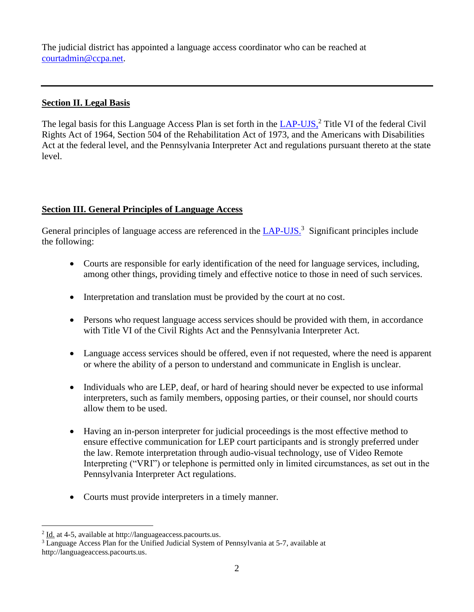The judicial district has appointed a language access coordinator who can be reached at [courtadmin@ccpa.net.](mailto:courtadmin@ccpa.net)

#### **Section II. Legal Basis**

The legal basis for this Language Access Plan is set forth in the LAP-UJS,<sup>2</sup> Title VI of the federal Civil Rights Act of 1964, Section 504 of the Rehabilitation Act of 1973, and the Americans with Disabilities Act at the federal level, and the Pennsylvania Interpreter Act and regulations pursuant thereto at the state level.

## **Section III. General Principles of Language Access**

General principles of language access are referenced in the  $LAP-UIS^3$  Significant principles include the following:

- Courts are responsible for early identification of the need for language services, including, among other things, providing timely and effective notice to those in need of such services.
- Interpretation and translation must be provided by the court at no cost.
- Persons who request language access services should be provided with them, in accordance with Title VI of the Civil Rights Act and the Pennsylvania Interpreter Act.
- Language access services should be offered, even if not requested, where the need is apparent or where the ability of a person to understand and communicate in English is unclear.
- Individuals who are LEP, deaf, or hard of hearing should never be expected to use informal interpreters, such as family members, opposing parties, or their counsel, nor should courts allow them to be used.
- Having an in-person interpreter for judicial proceedings is the most effective method to ensure effective communication for LEP court participants and is strongly preferred under the law. Remote interpretation through audio-visual technology, use of Video Remote Interpreting ("VRI") or telephone is permitted only in limited circumstances, as set out in the Pennsylvania Interpreter Act regulations.
- Courts must provide interpreters in a timely manner.

 $2$  Id. at 4-5, available at http://languageaccess.pacourts.us.

<sup>3</sup> Language Access Plan for the Unified Judicial System of Pennsylvania at 5-7, available at http://languageaccess.pacourts.us.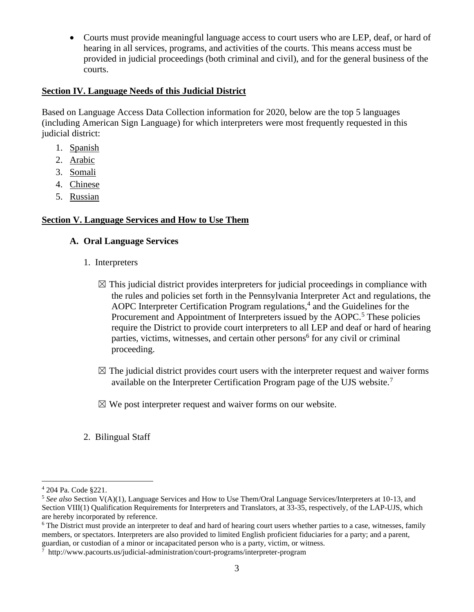• Courts must provide meaningful language access to court users who are LEP, deaf, or hard of hearing in all services, programs, and activities of the courts. This means access must be provided in judicial proceedings (both criminal and civil), and for the general business of the courts.

## **Section IV. Language Needs of this Judicial District**

Based on Language Access Data Collection information for 2020, below are the top 5 languages (including American Sign Language) for which interpreters were most frequently requested in this judicial district:

- 1. Spanish
- 2. Arabic
- 3. Somali
- 4. Chinese
- 5. Russian

## **Section V. Language Services and How to Use Them**

## **A. Oral Language Services**

- 1. Interpreters
	- $\boxtimes$  This judicial district provides interpreters for judicial proceedings in compliance with the rules and policies set forth in the Pennsylvania Interpreter Act and regulations, the AOPC Interpreter Certification Program regulations, $4$  and the Guidelines for the Procurement and Appointment of Interpreters issued by the AOPC.<sup>5</sup> These policies require the District to provide court interpreters to all LEP and deaf or hard of hearing parties, victims, witnesses, and certain other persons<sup>6</sup> for any civil or criminal proceeding.
	- $\boxtimes$  The judicial district provides court users with the interpreter request and waiver forms available on the Interpreter Certification Program page of the UJS website.<sup>7</sup>
	- $\boxtimes$  We post interpreter request and waiver forms on our website.
- 2. Bilingual Staff

<sup>4</sup> 204 Pa. Code §221.

<sup>5</sup> *See also* Section V(A)(1), Language Services and How to Use Them/Oral Language Services/Interpreters at 10-13, and Section VIII(1) Qualification Requirements for Interpreters and Translators, at 33-35, respectively, of the LAP-UJS, which are hereby incorporated by reference.

<sup>&</sup>lt;sup>6</sup> The District must provide an interpreter to deaf and hard of hearing court users whether parties to a case, witnesses, family members, or spectators. Interpreters are also provided to limited English proficient fiduciaries for a party; and a parent, guardian, or custodian of a minor or incapacitated person who is a party, victim, or witness.

<sup>7</sup> http://www.pacourts.us/judicial-administration/court-programs/interpreter-program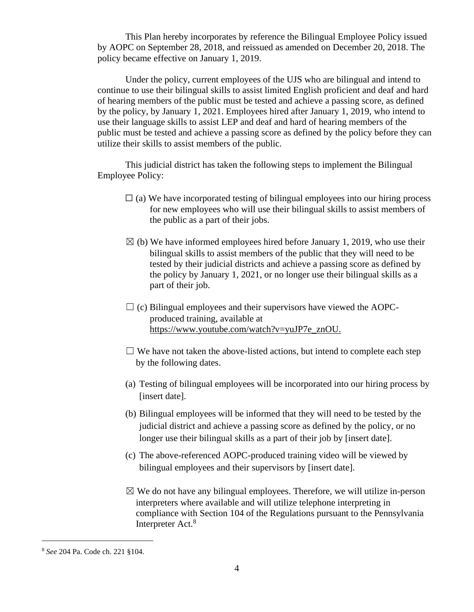This Plan hereby incorporates by reference the Bilingual Employee Policy issued by AOPC on September 28, 2018, and reissued as amended on December 20, 2018. The policy became effective on January 1, 2019.

Under the policy, current employees of the UJS who are bilingual and intend to continue to use their bilingual skills to assist limited English proficient and deaf and hard of hearing members of the public must be tested and achieve a passing score, as defined by the policy, by January 1, 2021. Employees hired after January 1, 2019, who intend to use their language skills to assist LEP and deaf and hard of hearing members of the public must be tested and achieve a passing score as defined by the policy before they can utilize their skills to assist members of the public.

This judicial district has taken the following steps to implement the Bilingual Employee Policy:

- $\Box$  (a) We have incorporated testing of bilingual employees into our hiring process for new employees who will use their bilingual skills to assist members of the public as a part of their jobs.
- $\boxtimes$  (b) We have informed employees hired before January 1, 2019, who use their bilingual skills to assist members of the public that they will need to be tested by their judicial districts and achieve a passing score as defined by the policy by January 1, 2021, or no longer use their bilingual skills as a part of their job.
- $\Box$  (c) Bilingual employees and their supervisors have viewed the AOPCproduced training, available at https://www.youtube.com/watch?v=yuJP7e\_znOU.
- $\Box$  We have not taken the above-listed actions, but intend to complete each step by the following dates.
- (a) Testing of bilingual employees will be incorporated into our hiring process by [insert date].
- (b) Bilingual employees will be informed that they will need to be tested by the judicial district and achieve a passing score as defined by the policy, or no longer use their bilingual skills as a part of their job by [insert date].
- (c) The above-referenced AOPC-produced training video will be viewed by bilingual employees and their supervisors by [insert date].
- $\boxtimes$  We do not have any bilingual employees. Therefore, we will utilize in-person interpreters where available and will utilize telephone interpreting in compliance with Section 104 of the Regulations pursuant to the Pennsylvania Interpreter Act.<sup>8</sup>

<sup>8</sup> *See* 204 Pa. Code ch. 221 §104.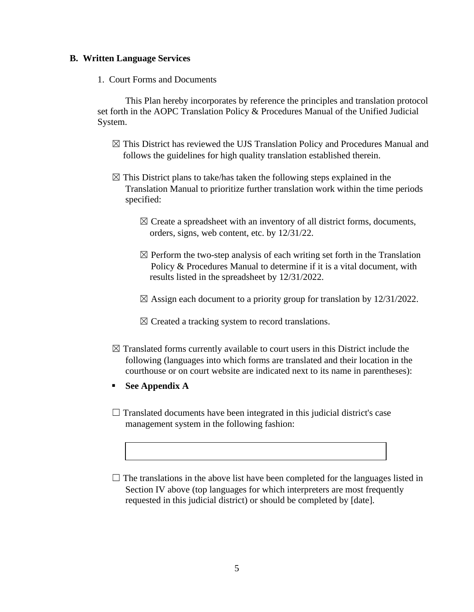#### **B. Written Language Services**

1. Court Forms and Documents

This Plan hereby incorporates by reference the principles and translation protocol set forth in the AOPC Translation Policy & Procedures Manual of the Unified Judicial System.

- ☒ This District has reviewed the UJS Translation Policy and Procedures Manual and follows the guidelines for high quality translation established therein.
- $\boxtimes$  This District plans to take/has taken the following steps explained in the Translation Manual to prioritize further translation work within the time periods specified:
	- $\boxtimes$  Create a spreadsheet with an inventory of all district forms, documents, orders, signs, web content, etc. by 12/31/22.
	- $\boxtimes$  Perform the two-step analysis of each writing set forth in the Translation Policy & Procedures Manual to determine if it is a vital document, with results listed in the spreadsheet by 12/31/2022.
	- $\boxtimes$  Assign each document to a priority group for translation by 12/31/2022.

 $\boxtimes$  Created a tracking system to record translations.

- $\boxtimes$  Translated forms currently available to court users in this District include the following (languages into which forms are translated and their location in the courthouse or on court website are indicated next to its name in parentheses):
- **See Appendix A**
- $\Box$  Translated documents have been integrated in this judicial district's case management system in the following fashion:
- $\Box$  The translations in the above list have been completed for the languages listed in Section IV above (top languages for which interpreters are most frequently requested in this judicial district) or should be completed by [date].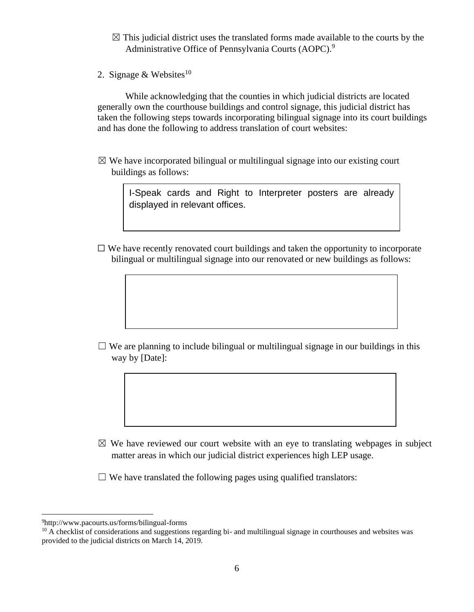- $\boxtimes$  This judicial district uses the translated forms made available to the courts by the Administrative Office of Pennsylvania Courts (AOPC).<sup>9</sup>
- 2. Signage & Websites<sup>10</sup>

While acknowledging that the counties in which judicial districts are located generally own the courthouse buildings and control signage, this judicial district has taken the following steps towards incorporating bilingual signage into its court buildings and has done the following to address translation of court websites:

 $\boxtimes$  We have incorporated bilingual or multilingual signage into our existing court buildings as follows:

> I-Speak cards and Right to Interpreter posters are already displayed in relevant offices.

 $\Box$  We have recently renovated court buildings and taken the opportunity to incorporate bilingual or multilingual signage into our renovated or new buildings as follows:

 $\Box$  We are planning to include bilingual or multilingual signage in our buildings in this way by [Date]:

 $\boxtimes$  We have reviewed our court website with an eye to translating webpages in subject matter areas in which our judicial district experiences high LEP usage.

 $\Box$  We have translated the following pages using qualified translators:

<sup>9</sup>http://www.pacourts.us/forms/bilingual-forms

 $10$  A checklist of considerations and suggestions regarding bi- and multilingual signage in courthouses and websites was provided to the judicial districts on March 14, 2019.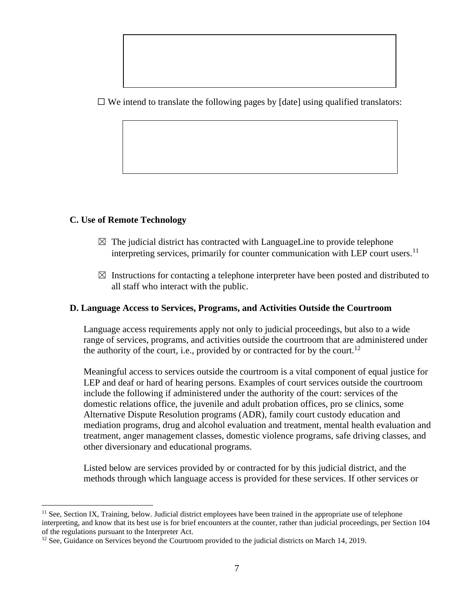$\Box$  We intend to translate the following pages by [date] using qualified translators:

## **C. Use of Remote Technology**

- $\boxtimes$  The judicial district has contracted with LanguageLine to provide telephone interpreting services, primarily for counter communication with LEP court users.<sup>11</sup>
- $\boxtimes$  Instructions for contacting a telephone interpreter have been posted and distributed to all staff who interact with the public.

#### **D. Language Access to Services, Programs, and Activities Outside the Courtroom**

Language access requirements apply not only to judicial proceedings, but also to a wide range of services, programs, and activities outside the courtroom that are administered under the authority of the court, i.e., provided by or contracted for by the court.<sup>12</sup>

Meaningful access to services outside the courtroom is a vital component of equal justice for LEP and deaf or hard of hearing persons. Examples of court services outside the courtroom include the following if administered under the authority of the court: services of the domestic relations office, the juvenile and adult probation offices, pro se clinics, some Alternative Dispute Resolution programs (ADR), family court custody education and mediation programs, drug and alcohol evaluation and treatment, mental health evaluation and treatment, anger management classes, domestic violence programs, safe driving classes, and other diversionary and educational programs.

Listed below are services provided by or contracted for by this judicial district, and the methods through which language access is provided for these services. If other services or

 $<sup>11</sup>$  See, Section IX, Training, below. Judicial district employees have been trained in the appropriate use of telephone</sup> interpreting, and know that its best use is for brief encounters at the counter, rather than judicial proceedings, per Section 104 of the regulations pursuant to the Interpreter Act.

<sup>&</sup>lt;sup>12</sup> See, Guidance on Services beyond the Courtroom provided to the judicial districts on March 14, 2019.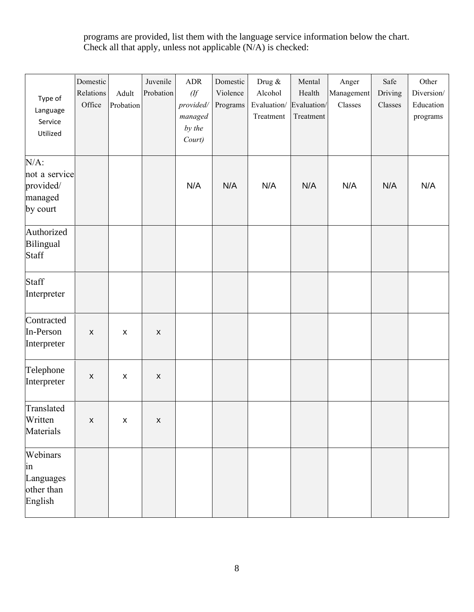programs are provided, list them with the language service information below the chart. Check all that apply, unless not applicable (N/A) is checked:

| Type of<br>Language<br>Service<br>Utilized                   | Domestic<br>Relations<br>Office | Adult<br>Probation | Juvenile<br>Probation | <b>ADR</b><br>(ff)<br>provided/<br>managed<br>by the<br>Court) | Domestic<br>Violence<br>Programs | Drug &<br>Alcohol<br>Evaluation/<br>Treatment | Mental<br>Health<br>Evaluation/<br>Treatment | Anger<br>Management<br>Classes | Safe<br>Driving<br>Classes | Other<br>Diversion/<br>Education<br>programs |
|--------------------------------------------------------------|---------------------------------|--------------------|-----------------------|----------------------------------------------------------------|----------------------------------|-----------------------------------------------|----------------------------------------------|--------------------------------|----------------------------|----------------------------------------------|
| $N/A$ :<br>not a service<br>provided/<br>managed<br>by court |                                 |                    |                       | N/A                                                            | N/A                              | N/A                                           | N/A                                          | N/A                            | N/A                        | N/A                                          |
| Authorized<br>Bilingual<br>Staff                             |                                 |                    |                       |                                                                |                                  |                                               |                                              |                                |                            |                                              |
| Staff<br>Interpreter                                         |                                 |                    |                       |                                                                |                                  |                                               |                                              |                                |                            |                                              |
| Contracted<br>In-Person<br>Interpreter                       | $\pmb{\times}$                  | $\pmb{\mathsf{X}}$ | $\pmb{\times}$        |                                                                |                                  |                                               |                                              |                                |                            |                                              |
| Telephone<br>Interpreter                                     | $\pmb{\mathsf{X}}$              | $\pmb{\mathsf{X}}$ | $\boldsymbol{X}$      |                                                                |                                  |                                               |                                              |                                |                            |                                              |
| Translated<br>Written<br>Materials                           | $\mathsf{X}^-$                  | $\pmb{\mathsf{X}}$ | $\pmb{\mathsf{X}}$    |                                                                |                                  |                                               |                                              |                                |                            |                                              |
| Webinars<br>in<br>Languages<br>other than<br>English         |                                 |                    |                       |                                                                |                                  |                                               |                                              |                                |                            |                                              |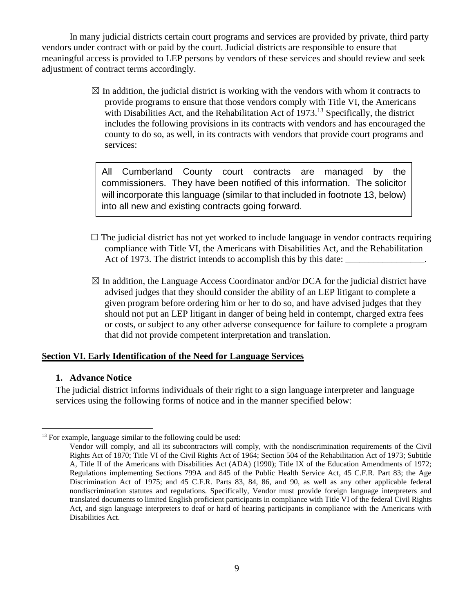In many judicial districts certain court programs and services are provided by private, third party vendors under contract with or paid by the court. Judicial districts are responsible to ensure that meaningful access is provided to LEP persons by vendors of these services and should review and seek adjustment of contract terms accordingly.

> $\boxtimes$  In addition, the judicial district is working with the vendors with whom it contracts to provide programs to ensure that those vendors comply with Title VI, the Americans with Disabilities Act, and the Rehabilitation Act of 1973.<sup>13</sup> Specifically, the district includes the following provisions in its contracts with vendors and has encouraged the county to do so, as well, in its contracts with vendors that provide court programs and services:

All Cumberland County court contracts are managed by the commissioners. They have been notified of this information. The solicitor will incorporate this language (similar to that included in footnote 13, below) into all new and existing contracts going forward.

- $\Box$  The judicial district has not yet worked to include language in vendor contracts requiring compliance with Title VI, the Americans with Disabilities Act, and the Rehabilitation Act of 1973. The district intends to accomplish this by this date:
- $\boxtimes$  In addition, the Language Access Coordinator and/or DCA for the judicial district have advised judges that they should consider the ability of an LEP litigant to complete a given program before ordering him or her to do so, and have advised judges that they should not put an LEP litigant in danger of being held in contempt, charged extra fees or costs, or subject to any other adverse consequence for failure to complete a program that did not provide competent interpretation and translation.

#### **Section VI. Early Identification of the Need for Language Services**

#### **1. Advance Notice**

The judicial district informs individuals of their right to a sign language interpreter and language services using the following forms of notice and in the manner specified below:

 $13$  For example, language similar to the following could be used:

Vendor will comply, and all its subcontractors will comply, with the nondiscrimination requirements of the Civil Rights Act of 1870; Title VI of the Civil Rights Act of 1964; Section 504 of the Rehabilitation Act of 1973; Subtitle A, Title II of the Americans with Disabilities Act (ADA) (1990); Title IX of the Education Amendments of 1972; Regulations implementing Sections 799A and 845 of the Public Health Service Act, 45 C.F.R. Part 83; the Age Discrimination Act of 1975; and 45 C.F.R. Parts 83, 84, 86, and 90, as well as any other applicable federal nondiscrimination statutes and regulations. Specifically, Vendor must provide foreign language interpreters and translated documents to limited English proficient participants in compliance with Title VI of the federal Civil Rights Act, and sign language interpreters to deaf or hard of hearing participants in compliance with the Americans with Disabilities Act.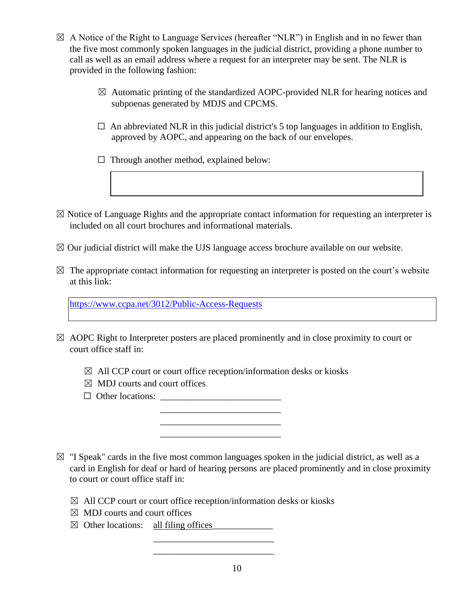- $\boxtimes$  A Notice of the Right to Language Services (hereafter "NLR") in English and in no fewer than the five most commonly spoken languages in the judicial district, providing a phone number to call as well as an email address where a request for an interpreter may be sent. The NLR is provided in the following fashion:
	- $\boxtimes$  Automatic printing of the standardized AOPC-provided NLR for hearing notices and subpoenas generated by MDJS and CPCMS.
	- $\Box$  An abbreviated NLR in this judicial district's 5 top languages in addition to English, approved by AOPC, and appearing on the back of our envelopes.
	- $\Box$  Through another method, explained below:
- $\boxtimes$  Notice of Language Rights and the appropriate contact information for requesting an interpreter is included on all court brochures and informational materials.
- $\boxtimes$  Our judicial district will make the UJS language access brochure available on our website.
- $\boxtimes$  The appropriate contact information for requesting an interpreter is posted on the court's website at this link:

<https://www.ccpa.net/3012/Public-Access-Requests>

- $\boxtimes$  AOPC Right to Interpreter posters are placed prominently and in close proximity to court or court office staff in:
	- $\boxtimes$  All CCP court or court office reception/information desks or kiosks

 $\overline{\phantom{a}}$  , which is the contract of the contract of the contract of the contract of the contract of the contract of the contract of the contract of the contract of the contract of the contract of the contract of the co  $\overline{\phantom{a}}$  , which is a set of the set of the set of the set of the set of the set of the set of the set of the set of the set of the set of the set of the set of the set of the set of the set of the set of the set of th  $\frac{1}{2}$  ,  $\frac{1}{2}$  ,  $\frac{1}{2}$  ,  $\frac{1}{2}$  ,  $\frac{1}{2}$  ,  $\frac{1}{2}$  ,  $\frac{1}{2}$  ,  $\frac{1}{2}$  ,  $\frac{1}{2}$  ,  $\frac{1}{2}$  ,  $\frac{1}{2}$  ,  $\frac{1}{2}$  ,  $\frac{1}{2}$  ,  $\frac{1}{2}$  ,  $\frac{1}{2}$  ,  $\frac{1}{2}$  ,  $\frac{1}{2}$  ,  $\frac{1}{2}$  ,  $\frac{1$ 

- $\boxtimes$  MDJ courts and court offices
- ☐ Other locations: \_\_\_\_\_\_\_\_\_\_\_\_\_\_\_\_\_\_\_\_\_\_\_\_\_\_
- $\boxtimes$  "I Speak" cards in the five most common languages spoken in the judicial district, as well as a card in English for deaf or hard of hearing persons are placed prominently and in close proximity to court or court office staff in:
	- $\boxtimes$  All CCP court or court office reception/information desks or kiosks

\_\_\_\_\_\_\_\_\_\_\_\_\_\_\_\_\_\_\_\_\_\_\_\_\_\_

- $\boxtimes$  MDJ courts and court offices
- ☒ Other locations: all filing offices\_\_\_\_\_\_\_\_\_\_\_\_\_

 $\frac{1}{2}$  ,  $\frac{1}{2}$  ,  $\frac{1}{2}$  ,  $\frac{1}{2}$  ,  $\frac{1}{2}$  ,  $\frac{1}{2}$  ,  $\frac{1}{2}$  ,  $\frac{1}{2}$  ,  $\frac{1}{2}$  ,  $\frac{1}{2}$  ,  $\frac{1}{2}$  ,  $\frac{1}{2}$  ,  $\frac{1}{2}$  ,  $\frac{1}{2}$  ,  $\frac{1}{2}$  ,  $\frac{1}{2}$  ,  $\frac{1}{2}$  ,  $\frac{1}{2}$  ,  $\frac{1$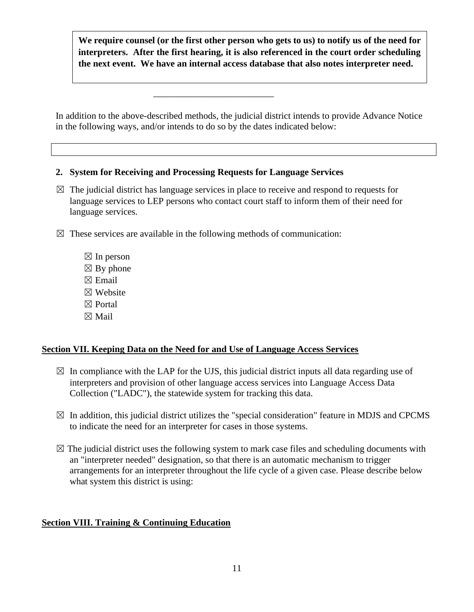**We require counsel (or the first other person who gets to us) to notify us of the need for interpreters. After the first hearing, it is also referenced in the court order scheduling the next event. We have an internal access database that also notes interpreter need.** 

In addition to the above-described methods, the judicial district intends to provide Advance Notice in the following ways, and/or intends to do so by the dates indicated below:

### **2. System for Receiving and Processing Requests for Language Services**

 $\frac{1}{2}$  ,  $\frac{1}{2}$  ,  $\frac{1}{2}$  ,  $\frac{1}{2}$  ,  $\frac{1}{2}$  ,  $\frac{1}{2}$  ,  $\frac{1}{2}$  ,  $\frac{1}{2}$  ,  $\frac{1}{2}$  ,  $\frac{1}{2}$  ,  $\frac{1}{2}$  ,  $\frac{1}{2}$  ,  $\frac{1}{2}$  ,  $\frac{1}{2}$  ,  $\frac{1}{2}$  ,  $\frac{1}{2}$  ,  $\frac{1}{2}$  ,  $\frac{1}{2}$  ,  $\frac{1$ 

- $\boxtimes$  The judicial district has language services in place to receive and respond to requests for language services to LEP persons who contact court staff to inform them of their need for language services.
- $\boxtimes$  These services are available in the following methods of communication:
	- $\boxtimes$  In person  $\boxtimes$  By phone  $\boxtimes$  Email ☒ Website ☒ Portal ☒ Mail

## **Section VII. Keeping Data on the Need for and Use of Language Access Services**

- $\boxtimes$  In compliance with the LAP for the UJS, this judicial district inputs all data regarding use of interpreters and provision of other language access services into Language Access Data Collection ("LADC"), the statewide system for tracking this data.
- $\boxtimes$  In addition, this judicial district utilizes the "special consideration" feature in MDJS and CPCMS to indicate the need for an interpreter for cases in those systems.
- $\boxtimes$  The judicial district uses the following system to mark case files and scheduling documents with an "interpreter needed" designation, so that there is an automatic mechanism to trigger arrangements for an interpreter throughout the life cycle of a given case. Please describe below what system this district is using:

## **Section VIII. Training & Continuing Education**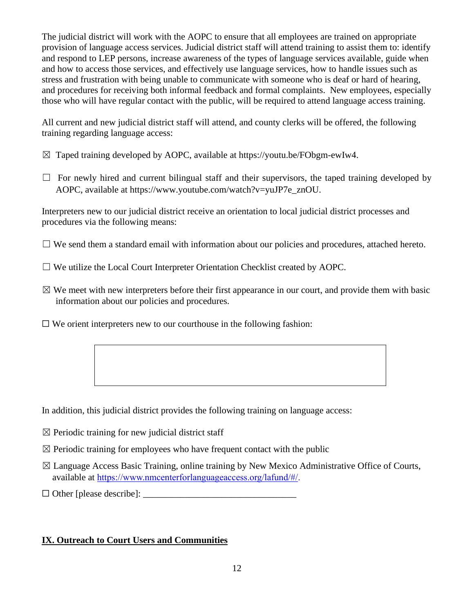The judicial district will work with the AOPC to ensure that all employees are trained on appropriate provision of language access services. Judicial district staff will attend training to assist them to: identify and respond to LEP persons, increase awareness of the types of language services available, guide when and how to access those services, and effectively use language services, how to handle issues such as stress and frustration with being unable to communicate with someone who is deaf or hard of hearing, and procedures for receiving both informal feedback and formal complaints. New employees, especially those who will have regular contact with the public, will be required to attend language access training.

All current and new judicial district staff will attend, and county clerks will be offered, the following training regarding language access:

- $\boxtimes$  Taped training developed by AOPC, available at https://youtu.be/FObgm-ewIw4.
- $\Box$  For newly hired and current bilingual staff and their supervisors, the taped training developed by AOPC, available at https://www.youtube.com/watch?v=yuJP7e\_znOU.

Interpreters new to our judicial district receive an orientation to local judicial district processes and procedures via the following means:

 $\Box$  We send them a standard email with information about our policies and procedures, attached hereto.

- $\Box$  We utilize the Local Court Interpreter Orientation Checklist created by AOPC.
- $\boxtimes$  We meet with new interpreters before their first appearance in our court, and provide them with basic information about our policies and procedures.
- $\Box$  We orient interpreters new to our courthouse in the following fashion:

In addition, this judicial district provides the following training on language access:

- $\boxtimes$  Periodic training for new judicial district staff
- $\boxtimes$  Periodic training for employees who have frequent contact with the public
- $\boxtimes$  Language Access Basic Training, online training by New Mexico Administrative Office of Courts, available at https://www.nmcenterforlanguageaccess.org/lafund/#/.
- $\Box$  Other [please describe]:

## **IX. Outreach to Court Users and Communities**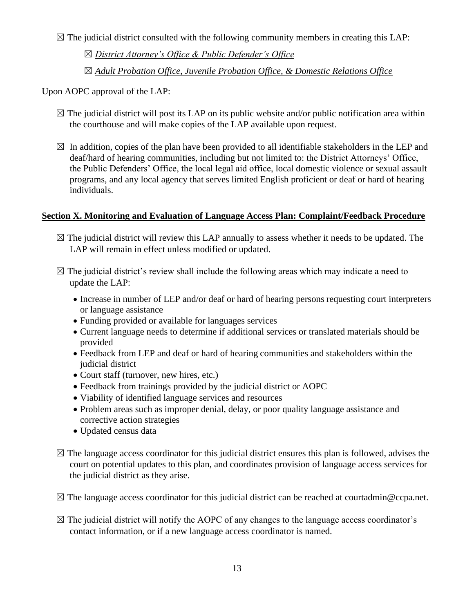$\boxtimes$  The judicial district consulted with the following community members in creating this LAP:

☒ *District Attorney's Office & Public Defender's Office*

☒ *Adult Probation Office, Juvenile Probation Office, & Domestic Relations Office*

Upon AOPC approval of the LAP:

- $\boxtimes$  The judicial district will post its LAP on its public website and/or public notification area within the courthouse and will make copies of the LAP available upon request.
- $\boxtimes$  In addition, copies of the plan have been provided to all identifiable stakeholders in the LEP and deaf/hard of hearing communities, including but not limited to: the District Attorneys' Office, the Public Defenders' Office, the local legal aid office, local domestic violence or sexual assault programs, and any local agency that serves limited English proficient or deaf or hard of hearing individuals.

## **Section X. Monitoring and Evaluation of Language Access Plan: Complaint/Feedback Procedure**

- $\boxtimes$  The judicial district will review this LAP annually to assess whether it needs to be updated. The LAP will remain in effect unless modified or updated.
- $\boxtimes$  The judicial district's review shall include the following areas which may indicate a need to update the LAP:
	- Increase in number of LEP and/or deaf or hard of hearing persons requesting court interpreters or language assistance
	- Funding provided or available for languages services
	- Current language needs to determine if additional services or translated materials should be provided
	- Feedback from LEP and deaf or hard of hearing communities and stakeholders within the judicial district
	- Court staff (turnover, new hires, etc.)
	- Feedback from trainings provided by the judicial district or AOPC
	- Viability of identified language services and resources
	- Problem areas such as improper denial, delay, or poor quality language assistance and corrective action strategies
	- Updated census data
- $\boxtimes$  The language access coordinator for this judicial district ensures this plan is followed, advises the court on potential updates to this plan, and coordinates provision of language access services for the judicial district as they arise.
- $\boxtimes$  The language access coordinator for this judicial district can be reached at courtadmin@ccpa.net.
- $\boxtimes$  The judicial district will notify the AOPC of any changes to the language access coordinator's contact information, or if a new language access coordinator is named.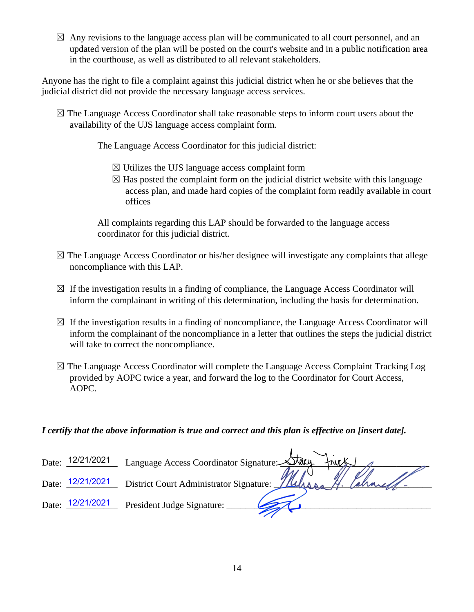$\boxtimes$  Any revisions to the language access plan will be communicated to all court personnel, and an updated version of the plan will be posted on the court's website and in a public notification area in the courthouse, as well as distributed to all relevant stakeholders.

Anyone has the right to file a complaint against this judicial district when he or she believes that the judicial district did not provide the necessary language access services.

 $\boxtimes$  The Language Access Coordinator shall take reasonable steps to inform court users about the availability of the UJS language access complaint form.

The Language Access Coordinator for this judicial district:

- $\boxtimes$  Utilizes the UJS language access complaint form
- $\boxtimes$  Has posted the complaint form on the judicial district website with this language access plan, and made hard copies of the complaint form readily available in court offices

All complaints regarding this LAP should be forwarded to the language access coordinator for this judicial district.

- $\boxtimes$  The Language Access Coordinator or his/her designee will investigate any complaints that allege noncompliance with this LAP.
- $\boxtimes$  If the investigation results in a finding of compliance, the Language Access Coordinator will inform the complainant in writing of this determination, including the basis for determination.
- $\boxtimes$  If the investigation results in a finding of noncompliance, the Language Access Coordinator will inform the complainant of the noncompliance in a letter that outlines the steps the judicial district will take to correct the noncompliance.
- $\boxtimes$  The Language Access Coordinator will complete the Language Access Complaint Tracking Log provided by AOPC twice a year, and forward the log to the Coordinator for Court Access, AOPC.

## *I certify that the above information is true and correct and this plan is effective on [insert date].*

| Date: | 12/21/2021 | Language Access Coordinator Signature: <u>XTacy</u><br>$+mx$ |
|-------|------------|--------------------------------------------------------------|
| Date: | 12/21/2021 | District Court Administrator Signature:                      |
| Date: | 12/21/2021 | President Judge Signature:                                   |